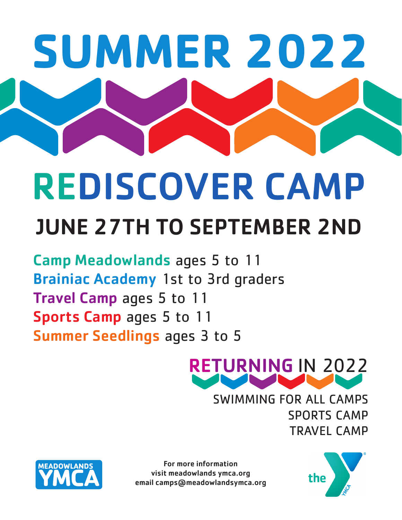# **SUMMER 2022** JUNE 27TH TO SEPTEMBER 2ND REDISCOVER CAMP

Camp Meadowlands ages 5 to 11 Brainiac Academy 1st to 3rd graders Travel Camp ages 5 to 11 Sports Camp ages 5 to 11 Summer Seedlings ages 3 to 5



SWIMMING FOR ALL CAMPS SPORTS CAMP TRAVEL CAMP



For more information visit meadowlands ymca.org email camps@meadowlandsymca.org